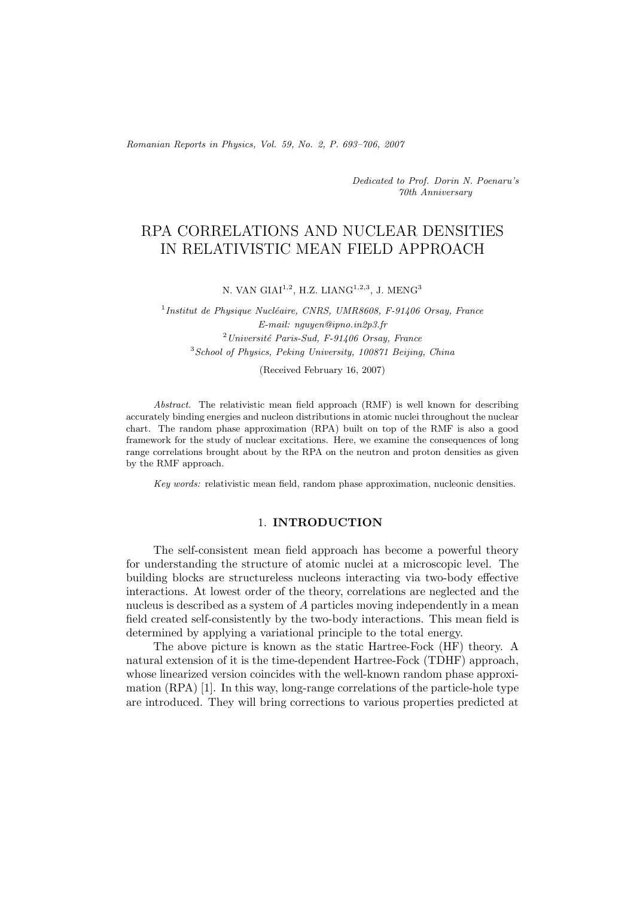*Romanian Reports in Physics, Vol. 59, No. 2, P. 693–706, 2007*

*Dedicated to Prof. Dorin N. Poenaru's 70th Anniversary*

# RPA CORRELATIONS AND NUCLEAR DENSITIES IN RELATIVISTIC MEAN FIELD APPROACH

N. VAN GIAI<sup>1,2</sup>, H.Z. LIAN $G^{1,2,3}$ , J. MEN $G^{3}$ 

<sup>1</sup>*Institut de Physique Nucléaire, CNRS, UMR8608, F-91406 Orsay, France E-mail: nguyen@ipno.in2p3.fr* <sup>2</sup>*Universit´e Paris-Sud, F-91406 Orsay, France* <sup>3</sup>*School of Physics, Peking University, 100871 Beijing, China*

(Received February 16, 2007)

*Abstract.* The relativistic mean field approach (RMF) is well known for describing accurately binding energies and nucleon distributions in atomic nuclei throughout the nuclear chart. The random phase approximation (RPA) built on top of the RMF is also a good framework for the study of nuclear excitations. Here, we examine the consequences of long range correlations brought about by the RPA on the neutron and proton densities as given by the RMF approach.

*Key words:* relativistic mean field, random phase approximation, nucleonic densities.

# 1. **INTRODUCTION**

The self-consistent mean field approach has become a powerful theory for understanding the structure of atomic nuclei at a microscopic level. The building blocks are structureless nucleons interacting via two-body effective interactions. At lowest order of the theory, correlations are neglected and the nucleus is described as a system of A particles moving independently in a mean field created self-consistently by the two-body interactions. This mean field is determined by applying a variational principle to the total energy.

The above picture is known as the static Hartree-Fock (HF) theory. A natural extension of it is the time-dependent Hartree-Fock (TDHF) approach, whose linearized version coincides with the well-known random phase approximation (RPA) [1]. In this way, long-range correlations of the particle-hole type are introduced. They will bring corrections to various properties predicted at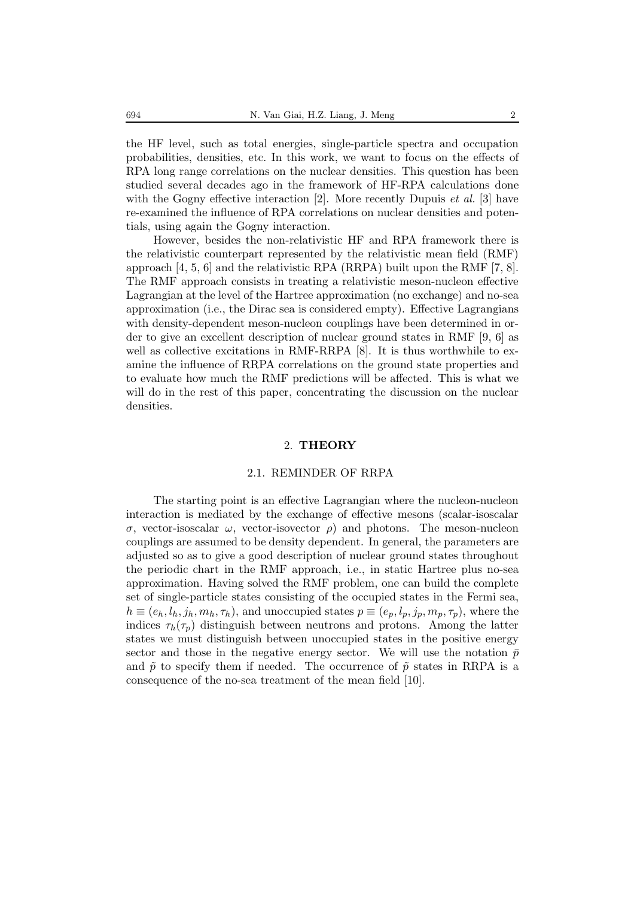the HF level, such as total energies, single-particle spectra and occupation probabilities, densities, etc. In this work, we want to focus on the effects of RPA long range correlations on the nuclear densities. This question has been studied several decades ago in the framework of HF-RPA calculations done with the Gogny effective interaction [2]. More recently Dupuis *et al.* [3] have re-examined the influence of RPA correlations on nuclear densities and potentials, using again the Gogny interaction.

However, besides the non-relativistic HF and RPA framework there is the relativistic counterpart represented by the relativistic mean field (RMF) approach  $[4, 5, 6]$  and the relativistic RPA (RRPA) built upon the RMF  $[7, 8]$ . The RMF approach consists in treating a relativistic meson-nucleon effective Lagrangian at the level of the Hartree approximation (no exchange) and no-sea approximation (i.e., the Dirac sea is considered empty). Effective Lagrangians with density-dependent meson-nucleon couplings have been determined in order to give an excellent description of nuclear ground states in RMF [9, 6] as well as collective excitations in RMF-RRPA [8]. It is thus worthwhile to examine the influence of RRPA correlations on the ground state properties and to evaluate how much the RMF predictions will be affected. This is what we will do in the rest of this paper, concentrating the discussion on the nuclear densities.

#### 2. **THEORY**

#### 2.1. REMINDER OF RRPA

The starting point is an effective Lagrangian where the nucleon-nucleon interaction is mediated by the exchange of effective mesons (scalar-isoscalar σ, vector-isoscalar ω, vector-isovector ρ) and photons. The meson-nucleon couplings are assumed to be density dependent. In general, the parameters are adjusted so as to give a good description of nuclear ground states throughout the periodic chart in the RMF approach, i.e., in static Hartree plus no-sea approximation. Having solved the RMF problem, one can build the complete set of single-particle states consisting of the occupied states in the Fermi sea,  $h \equiv (e_h, l_h, j_h, m_h, \tau_h)$ , and unoccupied states  $p \equiv (e_p, l_p, j_p, m_p, \tau_p)$ , where the indices  $\tau_h(\tau_p)$  distinguish between neutrons and protons. Among the latter states we must distinguish between unoccupied states in the positive energy sector and those in the negative energy sector. We will use the notation  $\bar{p}$ and  $\tilde{p}$  to specify them if needed. The occurrence of  $\tilde{p}$  states in RRPA is a consequence of the no-sea treatment of the mean field [10].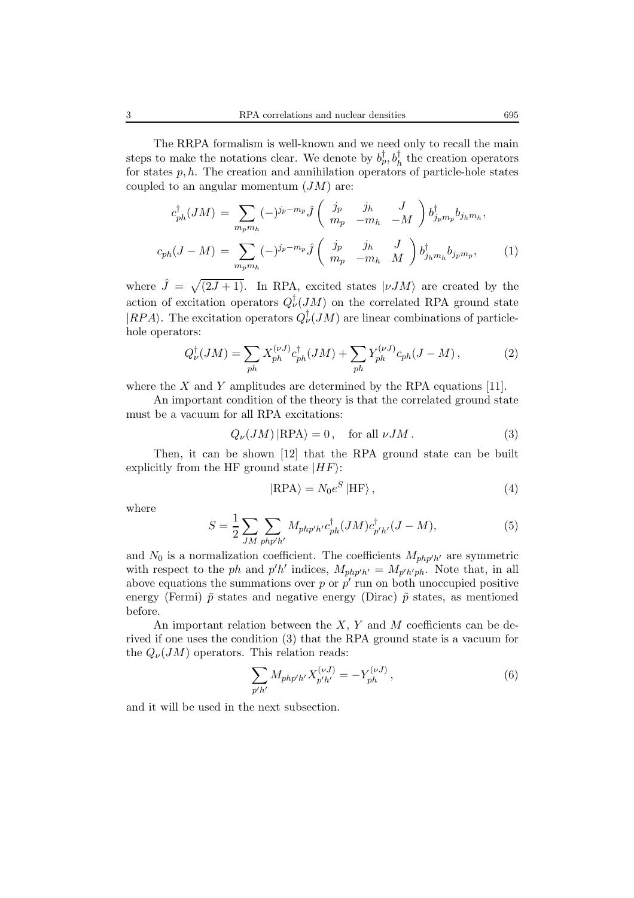The RRPA formalism is well-known and we need only to recall the main steps to make the notations clear. We denote by  $b_p^{\dagger}, b_h^{\dagger}$  the creation operators for states  $p, h$ . The creation and annihilation operators of particle-hole states coupled to an angular momentum  $(JM)$  are:

$$
c_{ph}^{\dagger}(JM) = \sum_{m_p m_h} (-)^{j_p - m_p} \hat{J} \begin{pmatrix} j_p & j_h & J \\ m_p & -m_h & -M \end{pmatrix} b_{j_p m_p}^{\dagger} b_{j_h m_h},
$$
  

$$
c_{ph}(J - M) = \sum_{m_p m_h} (-)^{j_p - m_p} \hat{J} \begin{pmatrix} j_p & j_h & J \\ m_p & -m_h & M \end{pmatrix} b_{j_h m_h}^{\dagger} b_{j_p m_p},
$$
 (1)

where  $\hat{J} = \sqrt{(2J+1)}$ . In RPA, excited states  $|\nu JM\rangle$  are created by the action of excitation operators  $Q^{\dagger}_{\nu}(JM)$  on the correlated RPA ground state  $|RPA\rangle$ . The excitation operators  $Q^{\dagger}_{\nu}(JM)$  are linear combinations of particlehole operators:

$$
Q^{\dagger}_{\nu}(JM) = \sum_{ph} X_{ph}^{(\nu J)} c^{\dagger}_{ph}(JM) + \sum_{ph} Y_{ph}^{(\nu J)} c_{ph}(J - M) , \qquad (2)
$$

where the X and Y amplitudes are determined by the RPA equations [11].

An important condition of the theory is that the correlated ground state must be a vacuum for all RPA excitations:

$$
Q_{\nu}(JM) | \text{RPA}\rangle = 0, \quad \text{for all } \nu JM \,. \tag{3}
$$

Then, it can be shown [12] that the RPA ground state can be built explicitly from the HF ground state  $|HF\rangle$ :

$$
|RPA\rangle = N_0 e^S |HF\rangle, \qquad (4)
$$

where

$$
S = \frac{1}{2} \sum_{JM} \sum_{php'h'} M_{php'h'} c_{ph}^{\dagger} (JM) c_{p'h'}^{\dagger} (J - M), \tag{5}
$$

and  $N_0$  is a normalization coefficient. The coefficients  $M_{php'b'}$  are symmetric with respect to the ph and  $p'h'$  indices,  $M_{php'h'} = M_{p'h'ph}$ . Note that, in all above equations the summations over p or  $p'$  run on both unoccupied positive energy (Fermi)  $\bar{p}$  states and negative energy (Dirac)  $\tilde{p}$  states, as mentioned before.

An important relation between the  $X, Y$  and  $M$  coefficients can be derived if one uses the condition (3) that the RPA ground state is a vacuum for the  $Q_{\nu}(JM)$  operators. This relation reads:

$$
\sum_{p'h'} M_{php'h'} X_{p'h'}^{(\nu J)} = -Y_{ph}^{(\nu J)},\tag{6}
$$

and it will be used in the next subsection.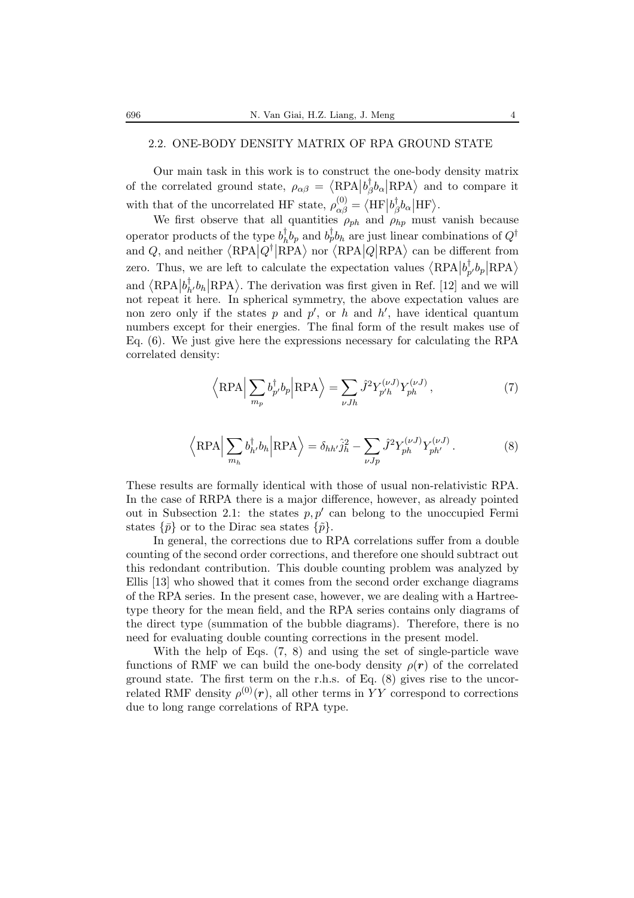## 2.2. ONE-BODY DENSITY MATRIX OF RPA GROUND STATE

Our main task in this work is to construct the one-body density matrix of the correlated ground state,  $\rho_{\alpha\beta} = \langle \text{RPA} | b_{\beta}^{\dagger} b_{\alpha} | \text{RPA} \rangle$  and to compare it with that of the uncorrelated HF state,  $\rho_{\alpha\beta}^{(0)} = \langle HF | b_{\beta}^{\dagger} b_{\alpha} | HF \rangle$ .

We first observe that all quantities  $\rho_{ph}$  and  $\rho_{hp}$  must vanish because operator products of the type  $b_h^{\dagger} b_p$  and  $b_p^{\dagger} b_h$  are just linear combinations of  $Q^{\dagger}$ and Q, and neither  $\langle \text{RPA} | Q^{\dagger} | \text{RPA} \rangle$  nor  $\langle \text{RPA} | Q | \text{RPA} \rangle$  can be different from zero. Thus, we are left to calculate the expectation values  $\langle \text{RPA} | b_{p'}^{\dagger} b_p | \text{RPA} \rangle$ and  $\langle RPA|b^{\dagger}_{h'}b_{h}|RPA\rangle$ . The derivation was first given in Ref. [12] and we will not repeat it here. In spherical symmetry, the above expectation values are non zero only if the states  $p$  and  $p'$ , or  $h$  and  $h'$ , have identical quantum numbers except for their energies. The final form of the result makes use of Eq. (6). We just give here the expressions necessary for calculating the RPA correlated density:

$$
\left\langle \text{RPA} \right| \sum_{m_p} b_{p'}^{\dagger} b_p \left| \text{RPA} \right\rangle = \sum_{\nu Jh} \hat{J}^2 Y_{p'h}^{(\nu J)} Y_{ph}^{(\nu J)},\tag{7}
$$

$$
\left\langle \text{RPA} \right| \sum_{m_h} b_h^{\dagger} b_h \left| \text{RPA} \right\rangle = \delta_{hh'} \hat{j}_h^2 - \sum_{\nu Jp} \hat{J}^2 Y_{ph}^{(\nu J)} Y_{ph'}^{(\nu J)}.
$$
 (8)

These results are formally identical with those of usual non-relativistic RPA. In the case of RRPA there is a major difference, however, as already pointed out in Subsection 2.1: the states  $p, p'$  can belong to the unoccupied Fermi states  $\{\bar{p}\}\$  or to the Dirac sea states  $\{\tilde{p}\}.$ 

In general, the corrections due to RPA correlations suffer from a double counting of the second order corrections, and therefore one should subtract out this redondant contribution. This double counting problem was analyzed by Ellis [13] who showed that it comes from the second order exchange diagrams of the RPA series. In the present case, however, we are dealing with a Hartreetype theory for the mean field, and the RPA series contains only diagrams of the direct type (summation of the bubble diagrams). Therefore, there is no need for evaluating double counting corrections in the present model.

With the help of Eqs. (7, 8) and using the set of single-particle wave functions of RMF we can build the one-body density  $\rho(r)$  of the correlated ground state. The first term on the r.h.s. of Eq. (8) gives rise to the uncorrelated RMF density  $\rho^{(0)}(r)$ , all other terms in YY correspond to corrections due to long range correlations of RPA type.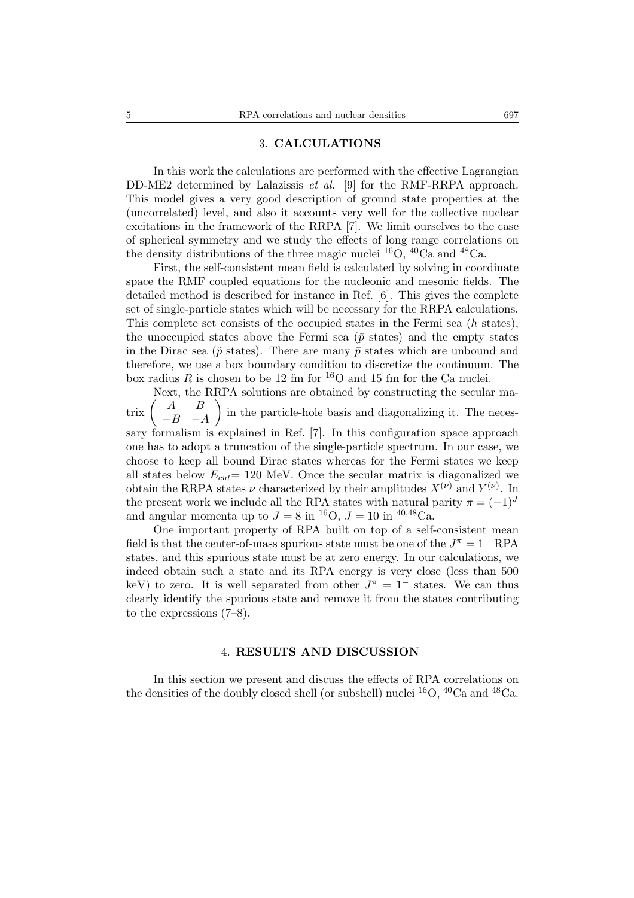#### 3. **CALCULATIONS**

In this work the calculations are performed with the effective Lagrangian DD-ME2 determined by Lalazissis *et al.* [9] for the RMF-RRPA approach. This model gives a very good description of ground state properties at the (uncorrelated) level, and also it accounts very well for the collective nuclear excitations in the framework of the RRPA [7]. We limit ourselves to the case of spherical symmetry and we study the effects of long range correlations on the density distributions of the three magic nuclei  ${}^{16}O$ ,  ${}^{40}Ca$  and  ${}^{48}Ca$ .

First, the self-consistent mean field is calculated by solving in coordinate space the RMF coupled equations for the nucleonic and mesonic fields. The detailed method is described for instance in Ref. [6]. This gives the complete set of single-particle states which will be necessary for the RRPA calculations. This complete set consists of the occupied states in the Fermi sea (h states), the unoccupied states above the Fermi sea ( $\bar{p}$  states) and the empty states in the Dirac sea ( $\tilde{p}$  states). There are many  $\bar{p}$  states which are unbound and therefore, we use a box boundary condition to discretize the continuum. The box radius R is chosen to be 12 fm for <sup>16</sup>O and 15 fm for the Ca nuclei.

Next, the RRPA solutions are obtained by constructing the secular ma- $\mbox{trix}$  $(A \ B$  $-B$  −A in the particle-hole basis and diagonalizing it. The necessary formalism is explained in Ref. [7]. In this configuration space approach one has to adopt a truncation of the single-particle spectrum. In our case, we choose to keep all bound Dirac states whereas for the Fermi states we keep all states below  $E_{cut}$  = 120 MeV. Once the secular matrix is diagonalized we obtain the RRPA states  $\nu$  characterized by their amplitudes  $X^{(\nu)}$  and  $Y^{(\nu)}$ . In the present work we include all the RPA states with natural parity  $\pi = (-1)^J$ and angular momenta up to  $J = 8$  in <sup>16</sup>O,  $J = 10$  in <sup>40,48</sup>Ca.

One important property of RPA built on top of a self-consistent mean field is that the center-of-mass spurious state must be one of the  $J^{\pi} = 1^-$  RPA states, and this spurious state must be at zero energy. In our calculations, we indeed obtain such a state and its RPA energy is very close (less than 500 keV) to zero. It is well separated from other  $J^{\pi} = 1^-$  states. We can thus clearly identify the spurious state and remove it from the states contributing to the expressions (7–8).

### 4. **RESULTS AND DISCUSSION**

In this section we present and discuss the effects of RPA correlations on the densities of the doubly closed shell (or subshell) nuclei  ${}^{16}O$ ,  ${}^{40}Ca$  and  ${}^{48}Ca$ .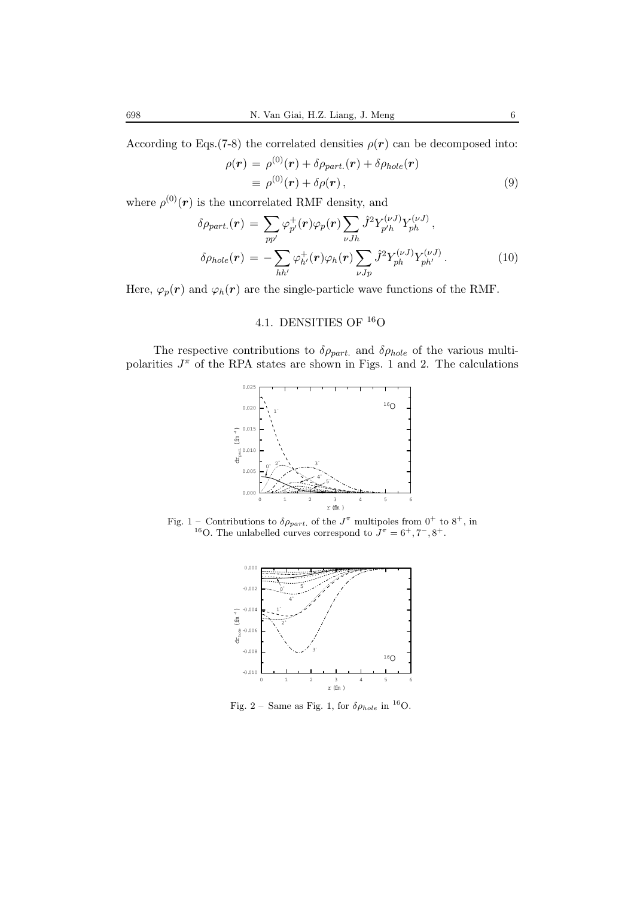According to Eqs.(7-8) the correlated densities  $\rho(\mathbf{r})$  can be decomposed into:

$$
\rho(\mathbf{r}) = \rho^{(0)}(\mathbf{r}) + \delta \rho_{part.}(\mathbf{r}) + \delta \rho_{hole}(\mathbf{r}) \equiv \rho^{(0)}(\mathbf{r}) + \delta \rho(\mathbf{r}),
$$
\n(9)

where  $\rho^{(0)}(\mathbf{r})$  is the uncorrelated RMF density, and

$$
\delta \rho_{part.}(\mathbf{r}) = \sum_{pp'} \varphi_{p'}^+(\mathbf{r}) \varphi_p(\mathbf{r}) \sum_{\nu Jh} \hat{J}^2 Y_{p'h}^{(\nu J)} Y_{ph}^{(\nu J)},
$$
  

$$
\delta \rho_{hole}(\mathbf{r}) = -\sum_{hh'} \varphi_{h'}^+(\mathbf{r}) \varphi_h(\mathbf{r}) \sum_{\nu Jp} \hat{J}^2 Y_{ph}^{(\nu J)} Y_{ph'}^{(\nu J)}.
$$
 (10)

Here,  $\varphi_p(\mathbf{r})$  and  $\varphi_h(\mathbf{r})$  are the single-particle wave functions of the RMF.

# 4.1. DENSITIES OF <sup>16</sup>O

The respective contributions to  $\delta \rho_{part.}$  and  $\delta \rho_{hole}$  of the various multipolarities  $J^{\pi}$  of the RPA states are shown in Figs. 1 and 2. The calculations



Fig. 1 – Contributions to  $\delta \rho_{part.}$  of the  $J^{\pi}$  multipoles from  $0^{+}$  to  $8^{+}$ , in <sup>16</sup>O. The unlabelled curves correspond to  $J^{\pi} = 6^{+}$ , 7<sup>-</sup>, 8<sup>+</sup>.



Fig. 2 – Same as Fig. 1, for  $\delta \rho_{hole}$  in <sup>16</sup>O.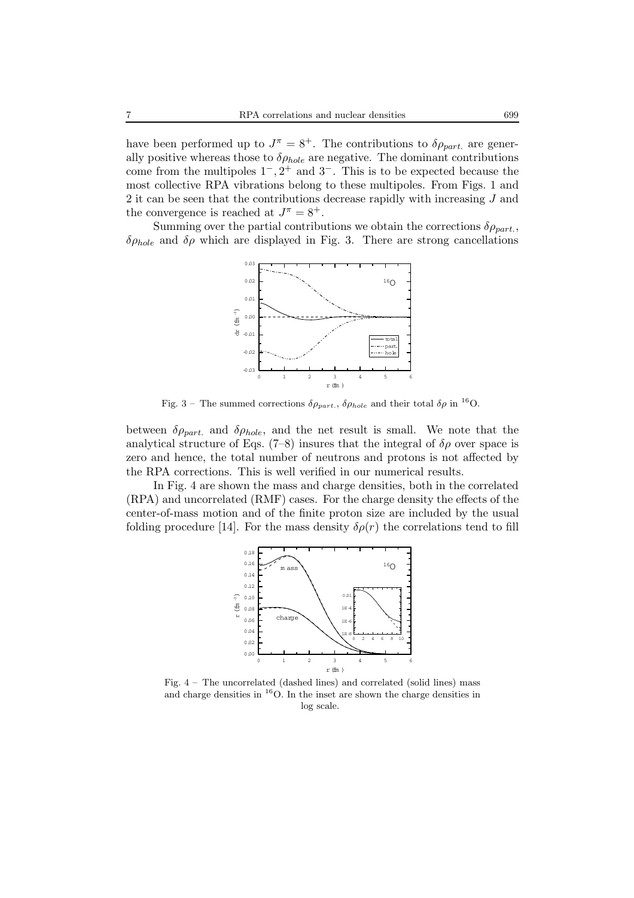have been performed up to  $J^{\pi} = 8^{+}$ . The contributions to  $\delta \rho_{part.}$  are generally positive whereas those to  $\delta \rho_{hole}$  are negative. The dominant contributions come from the multipoles  $1^-, 2^+$  and  $3^-$ . This is to be expected because the most collective RPA vibrations belong to these multipoles. From Figs. 1 and 2 it can be seen that the contributions decrease rapidly with increasing J and the convergence is reached at  $J^{\pi} = 8^{+}$ .

Summing over the partial contributions we obtain the corrections  $\delta \rho_{part}$ ,  $\delta \rho_{hole}$  and  $\delta \rho$  which are displayed in Fig. 3. There are strong cancellations



Fig. 3 – The summed corrections  $\delta \rho_{part.}$ ,  $\delta \rho_{hole}$  and their total  $\delta \rho$  in <sup>16</sup>O.

between  $\delta \rho_{part.}$  and  $\delta \rho_{hole}$ , and the net result is small. We note that the analytical structure of Eqs. (7–8) insures that the integral of  $\delta \rho$  over space is zero and hence, the total number of neutrons and protons is not affected by the RPA corrections. This is well verified in our numerical results.

In Fig. 4 are shown the mass and charge densities, both in the correlated (RPA) and uncorrelated (RMF) cases. For the charge density the effects of the center-of-mass motion and of the finite proton size are included by the usual folding procedure [14]. For the mass density  $\delta \rho(r)$  the correlations tend to fill



Fig. 4 – The uncorrelated (dashed lines) and correlated (solid lines) mass and charge densities in  ${}^{16}$ O. In the inset are shown the charge densities in log scale.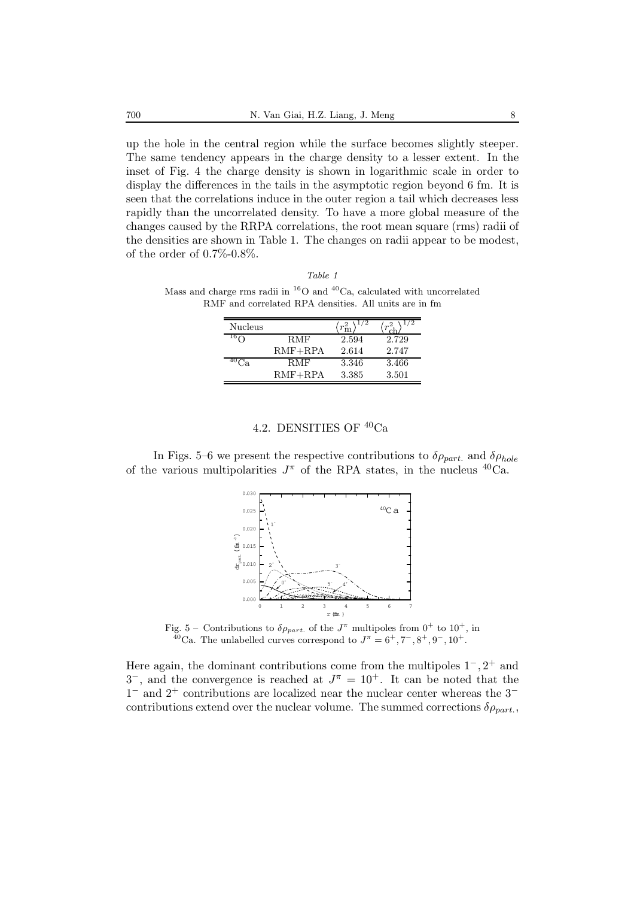up the hole in the central region while the surface becomes slightly steeper. The same tendency appears in the charge density to a lesser extent. In the inset of Fig. 4 the charge density is shown in logarithmic scale in order to display the differences in the tails in the asymptotic region beyond 6 fm. It is seen that the correlations induce in the outer region a tail which decreases less rapidly than the uncorrelated density. To have a more global measure of the changes caused by the RRPA correlations, the root mean square (rms) radii of the densities are shown in Table 1. The changes on radii appear to be modest, of the order of  $0.7\%$ - $0.8\%$ .

*Table 1* Mass and charge rms radii in  ${}^{16}O$  and  ${}^{40}Ca$ , calculated with uncorrelated RMF and correlated RPA densities. All units are in fm

| Nucleus              |           |       |       |
|----------------------|-----------|-------|-------|
| $\sim$ <sup>04</sup> | RMF       | 2.594 | 2.729 |
|                      | $RMF+RPA$ | 2.614 | 2.747 |
|                      | RMF       | 3.346 | 3.466 |
|                      | $RMF+RPA$ | 3.385 | 3.501 |

# 4.2. DENSITIES OF <sup>40</sup>Ca

In Figs. 5–6 we present the respective contributions to  $\delta \rho_{part.}$  and  $\delta \rho_{hole}$ of the various multipolarities  $J^{\pi}$  of the RPA states, in the nucleus <sup>40</sup>Ca.



Fig. 5 – Contributions to  $\delta \rho_{part.}$  of the  $J^{\pi}$  multipoles from  $0^{+}$  to  $10^{+}$ , in  $4^{40}$ Ca. The unlabelled curves correspond to  $J^{\pi} = 6^{+}$ ,  $7^{-}$ ,  $8^{+}$ ,  $9^{-}$ ,  $10^{+}$ .

Here again, the dominant contributions come from the multipoles  $1^-, 2^+$  and 3<sup>-</sup>, and the convergence is reached at  $J^{\pi} = 10^{+}$ . It can be noted that the 1<sup>−</sup> and 2<sup>+</sup> contributions are localized near the nuclear center whereas the 3<sup>−</sup> contributions extend over the nuclear volume. The summed corrections  $\delta \rho_{part}$ ,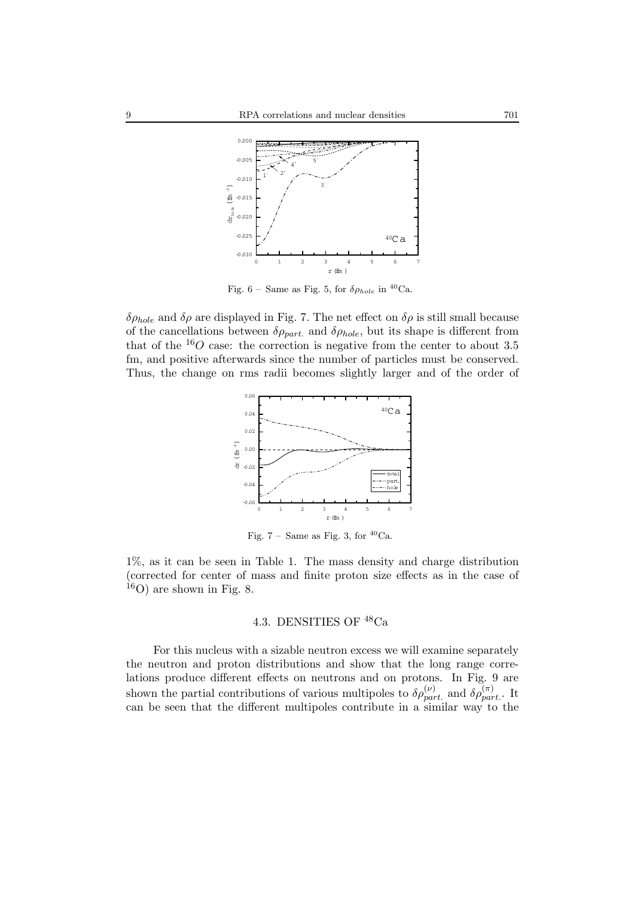

Fig. 6 – Same as Fig. 5, for  $\delta \rho_{hole}$  in <sup>40</sup>Ca.

 $\delta \rho_{hole}$  and  $\delta \rho$  are displayed in Fig. 7. The net effect on  $\delta \rho$  is still small because of the cancellations between  $\delta \rho_{part.}$  and  $\delta \rho_{hole}$ , but its shape is different from that of the  ${}^{16}O$  case: the correction is negative from the center to about 3.5 fm, and positive afterwards since the number of particles must be conserved. Thus, the change on rms radii becomes slightly larger and of the order of



Fig. 7 – Same as Fig. 3, for  $^{40}\mathrm{Ca}$ 

1%, as it can be seen in Table 1. The mass density and charge distribution (corrected for center of mass and finite proton size effects as in the case of  $^{16}$ O) are shown in Fig. 8.

# 4.3. DENSITIES OF <sup>48</sup>Ca

For this nucleus with a sizable neutron excess we will examine separately the neutron and proton distributions and show that the long range correlations produce different effects on neutrons and on protons. In Fig. 9 are shown the partial contributions of various multipoles to  $\delta \rho_{part.}^{(\nu)}$  and  $\delta \rho_{part.}^{(\pi)}$ . It can be seen that the different multipoles contribute in a similar way to the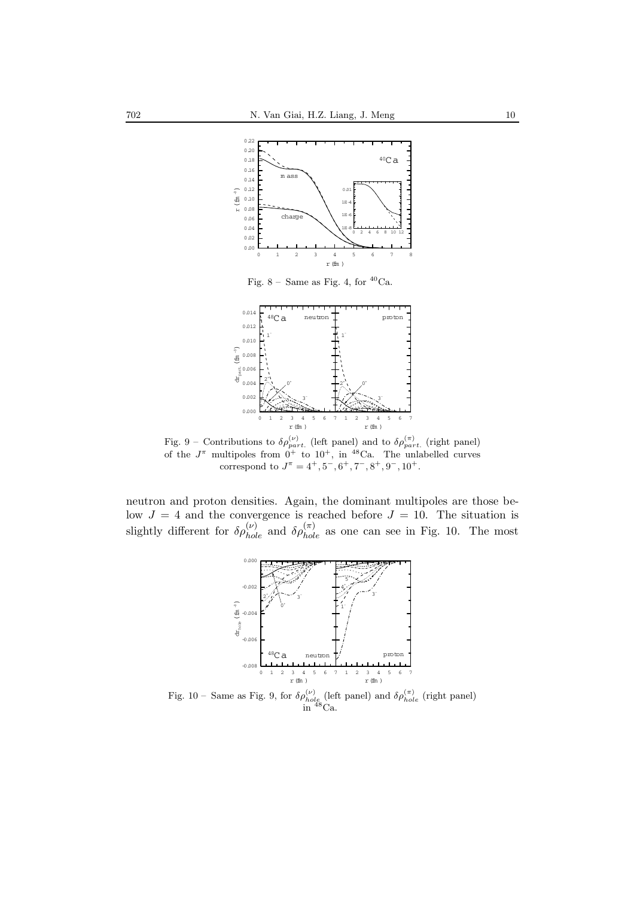

Fig. 8 – Same as Fig. 4, for  $^{40}\mathrm{Ca}.$ 



Fig. 9 – Contributions to  $\delta \rho_{part.}^{(\nu)}$  (left panel) and to  $\delta \rho_{part.}^{(\pi)}$  (right panel) of the  $J^{\pi}$  multipoles from  $0^{+}$  to  $10^{+}$ , in <sup>48</sup>Ca. The unlabelled curves correspond to  $J^{\pi} = 4^{+}, 5^{-}, 6^{+}, 7^{-}, 8^{+}, 9^{-}, 10^{+}$ .

neutron and proton densities. Again, the dominant multipoles are those below  $J = 4$  and the convergence is reached before  $J = 10$ . The situation is slightly different for  $\delta \rho_{hole}^{(\nu)}$  and  $\delta \rho_{hole}^{(\pi)}$  as one can see in Fig. 10. The most



Fig. 10 – Same as Fig. 9, for  $\delta \rho_{hole}^{(\nu)}$  (left panel) and  $\delta \rho_{hole}^{(\pi)}$  (right panel) in  ${}^{48}$ Ca.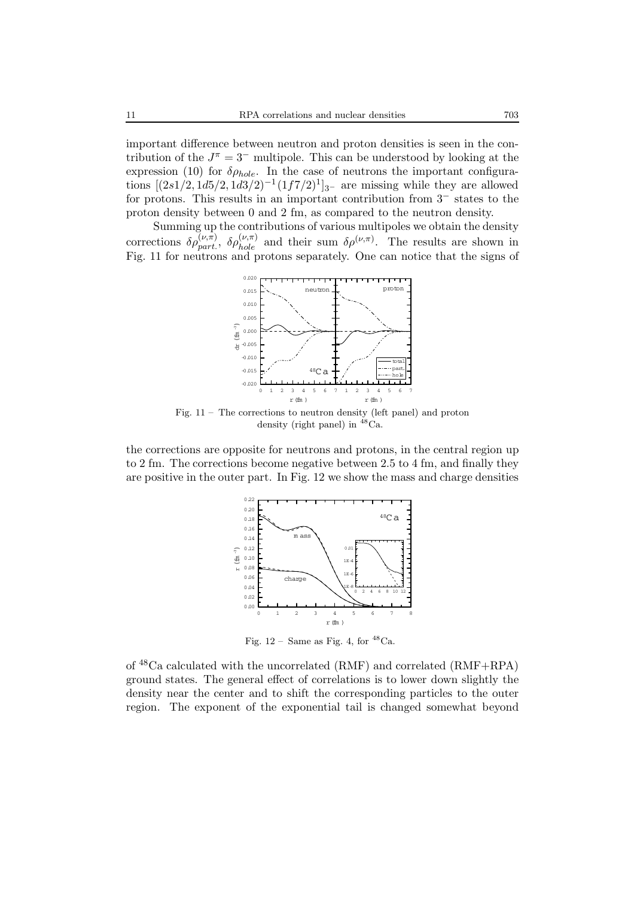important difference between neutron and proton densities is seen in the contribution of the  $J^{\pi} = 3^-$  multipole. This can be understood by looking at the expression (10) for  $\delta \rho_{hole}$ . In the case of neutrons the important configurations  $[(2s1/2, 1d5/2, 1d3/2)^{-1}(1f7/2)^1]_{3-}$  are missing while they are allowed for protons. This results in an important contribution from 3− states to the proton density between 0 and 2 fm, as compared to the neutron density.

Summing up the contributions of various multipoles we obtain the density corrections  $\delta \rho_{part}^{(\nu,\pi)}$ ,  $\delta \rho_{hole}^{(\nu,\pi)}$  and their sum  $\delta \rho^{(\nu,\pi)}$ . The results are shown in Fig. 11 for neutrons and protons separately. One can notice that the signs of



Fig. 11 – The corrections to neutron density (left panel) and proton density (right panel) in  ${}^{48}$ Ca.

the corrections are opposite for neutrons and protons, in the central region up to 2 fm. The corrections become negative between 2.5 to 4 fm, and finally they are positive in the outer part. In Fig. 12 we show the mass and charge densities



Fig.  $12$  – Same as Fig. 4, for  $^{48}$ Ca.

of  $^{48}$ Ca calculated with the uncorrelated (RMF) and correlated (RMF+RPA) ground states. The general effect of correlations is to lower down slightly the density near the center and to shift the corresponding particles to the outer region. The exponent of the exponential tail is changed somewhat beyond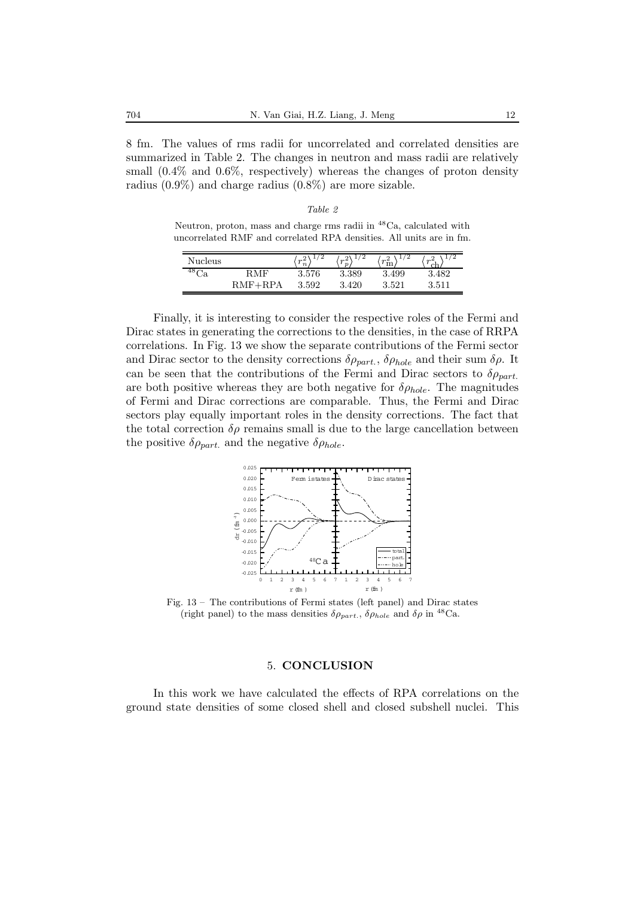8 fm. The values of rms radii for uncorrelated and correlated densities are summarized in Table 2. The changes in neutron and mass radii are relatively small  $(0.4\%$  and  $0.6\%$ , respectively) whereas the changes of proton density radius (0.9%) and charge radius (0.8%) are more sizable.

Neutron, proton, mass and charge rms radii in <sup>48</sup>Ca, calculated with uncorrelated RMF and correlated RPA densities. All units are in fm.

| Nucleus |           | '2<br>m<br>$\boldsymbol{n}$ | '2<br>$\sim$<br>$\boldsymbol{\eta}$ | '2<br>m <sup>4</sup><br>m | $\sqrt{2}$<br>m <sup>4</sup><br>$\sim$ |
|---------|-----------|-----------------------------|-------------------------------------|---------------------------|----------------------------------------|
| ن.      | RMF       | 3.576                       | 3.389                               | 3.499                     | 3.482                                  |
|         | $RMF+RPA$ | 3.592                       | .420                                | 3.521                     | $3.511\,$                              |

Finally, it is interesting to consider the respective roles of the Fermi and Dirac states in generating the corrections to the densities, in the case of RRPA correlations. In Fig. 13 we show the separate contributions of the Fermi sector and Dirac sector to the density corrections  $\delta \rho_{part.}, \delta \rho_{hole}$  and their sum  $\delta \rho$ . It can be seen that the contributions of the Fermi and Dirac sectors to  $\delta \rho_{part.}$ are both positive whereas they are both negative for  $\delta \rho_{hole}$ . The magnitudes of Fermi and Dirac corrections are comparable. Thus, the Fermi and Dirac sectors play equally important roles in the density corrections. The fact that the total correction  $\delta \rho$  remains small is due to the large cancellation between the positive  $\delta \rho_{part.}$  and the negative  $\delta \rho_{hole}.$ 



Fig. 13 – The contributions of Fermi states (left panel) and Dirac states (right panel) to the mass densities  $\delta \rho_{part.}$ ,  $\delta \rho_{hole}$  and  $\delta \rho$  in <sup>48</sup>Ca.

#### 5. **CONCLUSION**

In this work we have calculated the effects of RPA correlations on the ground state densities of some closed shell and closed subshell nuclei. This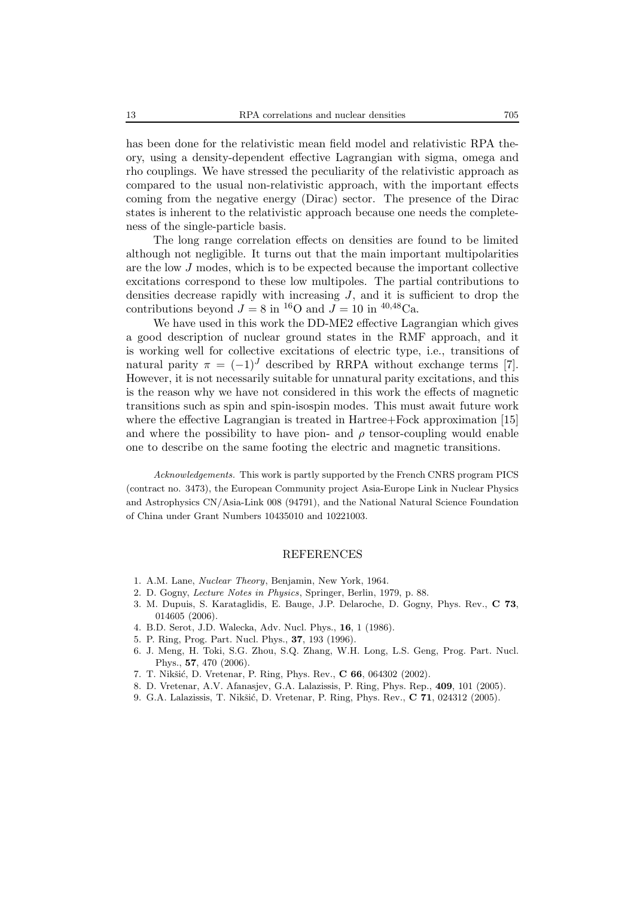has been done for the relativistic mean field model and relativistic RPA theory, using a density-dependent effective Lagrangian with sigma, omega and rho couplings. We have stressed the peculiarity of the relativistic approach as compared to the usual non-relativistic approach, with the important effects coming from the negative energy (Dirac) sector. The presence of the Dirac states is inherent to the relativistic approach because one needs the completeness of the single-particle basis.

The long range correlation effects on densities are found to be limited although not negligible. It turns out that the main important multipolarities are the low J modes, which is to be expected because the important collective excitations correspond to these low multipoles. The partial contributions to densities decrease rapidly with increasing  $J$ , and it is sufficient to drop the contributions beyond  $J = 8$  in <sup>16</sup>O and  $J = 10$  in <sup>40,48</sup>Ca.

We have used in this work the DD-ME2 effective Lagrangian which gives a good description of nuclear ground states in the RMF approach, and it is working well for collective excitations of electric type, i.e., transitions of natural parity  $\pi = (-1)^J$  described by RRPA without exchange terms [7]. However, it is not necessarily suitable for unnatural parity excitations, and this is the reason why we have not considered in this work the effects of magnetic transitions such as spin and spin-isospin modes. This must await future work where the effective Lagrangian is treated in Hartree+Fock approximation [15] and where the possibility to have pion- and  $\rho$  tensor-coupling would enable one to describe on the same footing the electric and magnetic transitions.

*Acknowledgements.* This work is partly supported by the French CNRS program PICS (contract no. 3473), the European Community project Asia-Europe Link in Nuclear Physics and Astrophysics CN/Asia-Link 008 (94791), and the National Natural Science Foundation of China under Grant Numbers 10435010 and 10221003.

#### REFERENCES

- 1. A.M. Lane, *Nuclear Theory*, Benjamin, New York, 1964.
- 2. D. Gogny, *Lecture Notes in Physics*, Springer, Berlin, 1979, p. 88.
- 3. M. Dupuis, S. Karataglidis, E. Bauge, J.P. Delaroche, D. Gogny, Phys. Rev., **C 73**, 014605 (2006).
- 4. B.D. Serot, J.D. Walecka, Adv. Nucl. Phys., **16**, 1 (1986).
- 5. P. Ring, Prog. Part. Nucl. Phys., **37**, 193 (1996).
- 6. J. Meng, H. Toki, S.G. Zhou, S.Q. Zhang, W.H. Long, L.S. Geng, Prog. Part. Nucl. Phys., **57**, 470 (2006).
- 7. T. Nikšić, D. Vretenar, P. Ring, Phys. Rev., **C 66**, 064302 (2002).
- 8. D. Vretenar, A.V. Afanasjev, G.A. Lalazissis, P. Ring, Phys. Rep., **409**, 101 (2005).
- 9. G.A. Lalazissis, T. Nikšić, D. Vretenar, P. Ring, Phys. Rev., **C 71**, 024312 (2005).